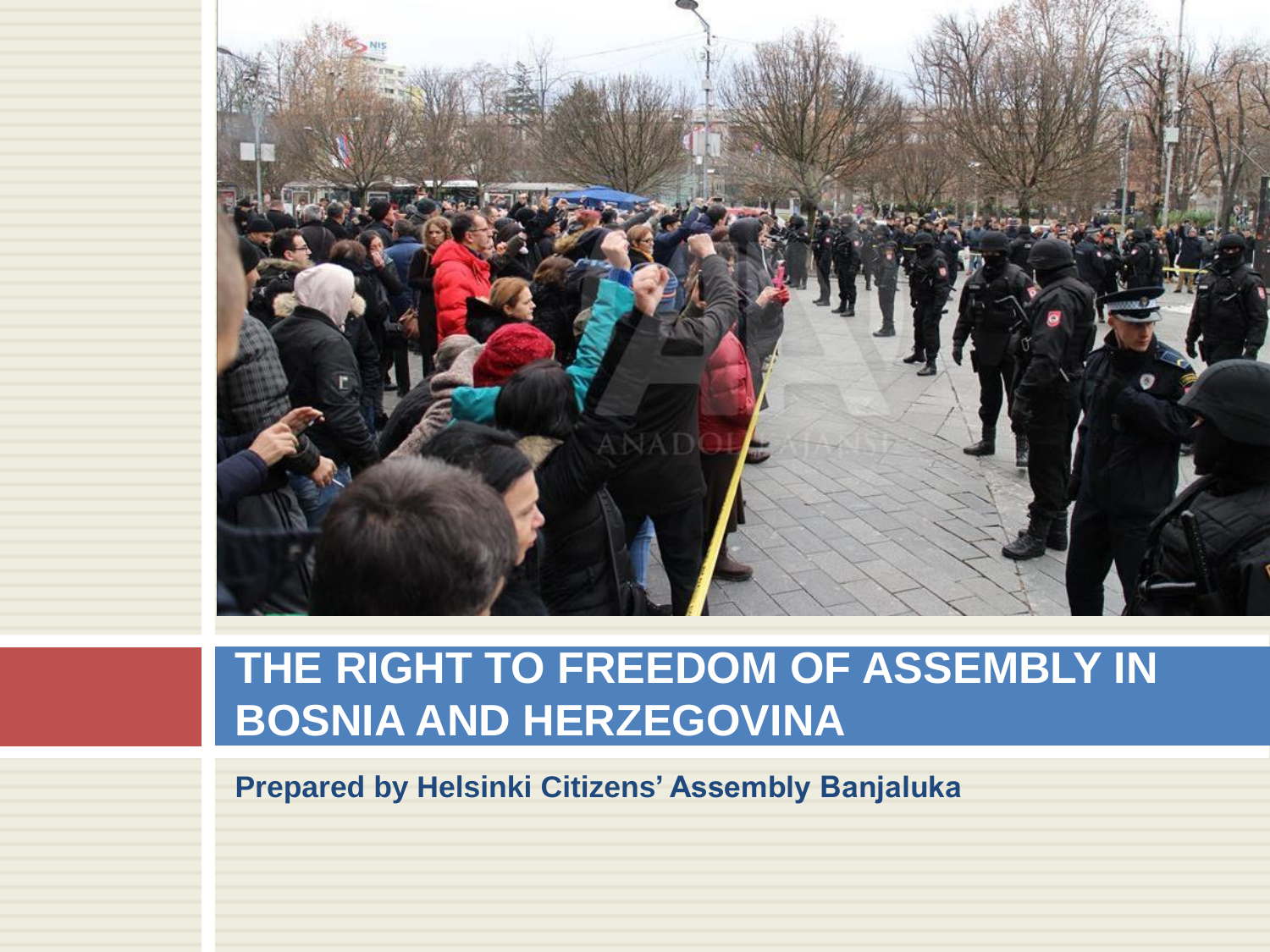

## **THE RIGHT TO FREEDOM OF ASSEMBLY IN BOSNIA AND HERZEGOVINA**

**Prepared by Helsinki Citizens' Assembly Banjaluka**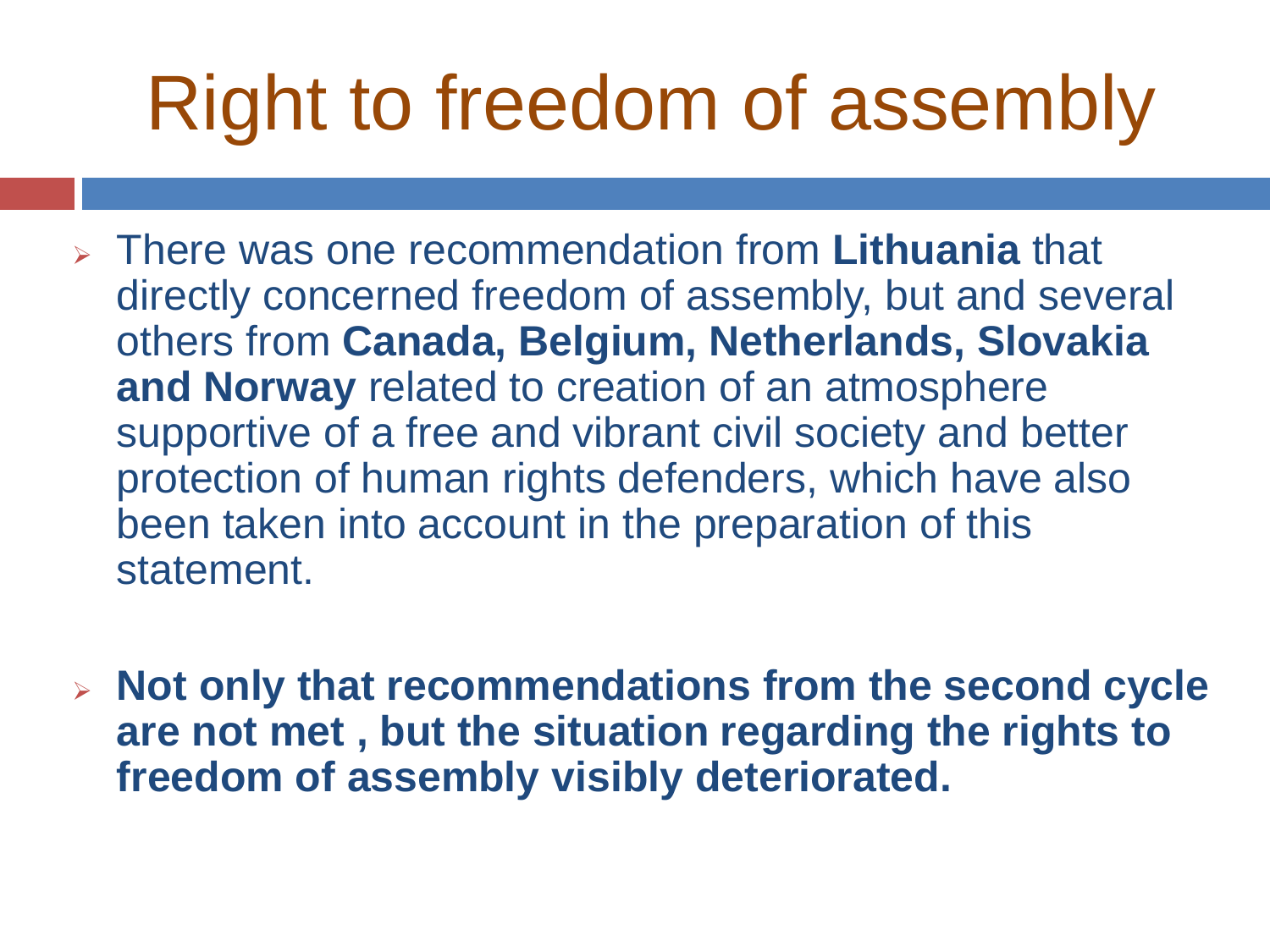## Right to freedom of assembly

- ➢ There was one recommendation from **Lithuania** that directly concerned freedom of assembly, but and several others from **Canada, Belgium, Netherlands, Slovakia and Norway** related to creation of an atmosphere supportive of a free and vibrant civil society and better protection of human rights defenders, which have also been taken into account in the preparation of this statement.
- ➢ **Not only that recommendations from the second cycle are not met , but the situation regarding the rights to freedom of assembly visibly deteriorated.**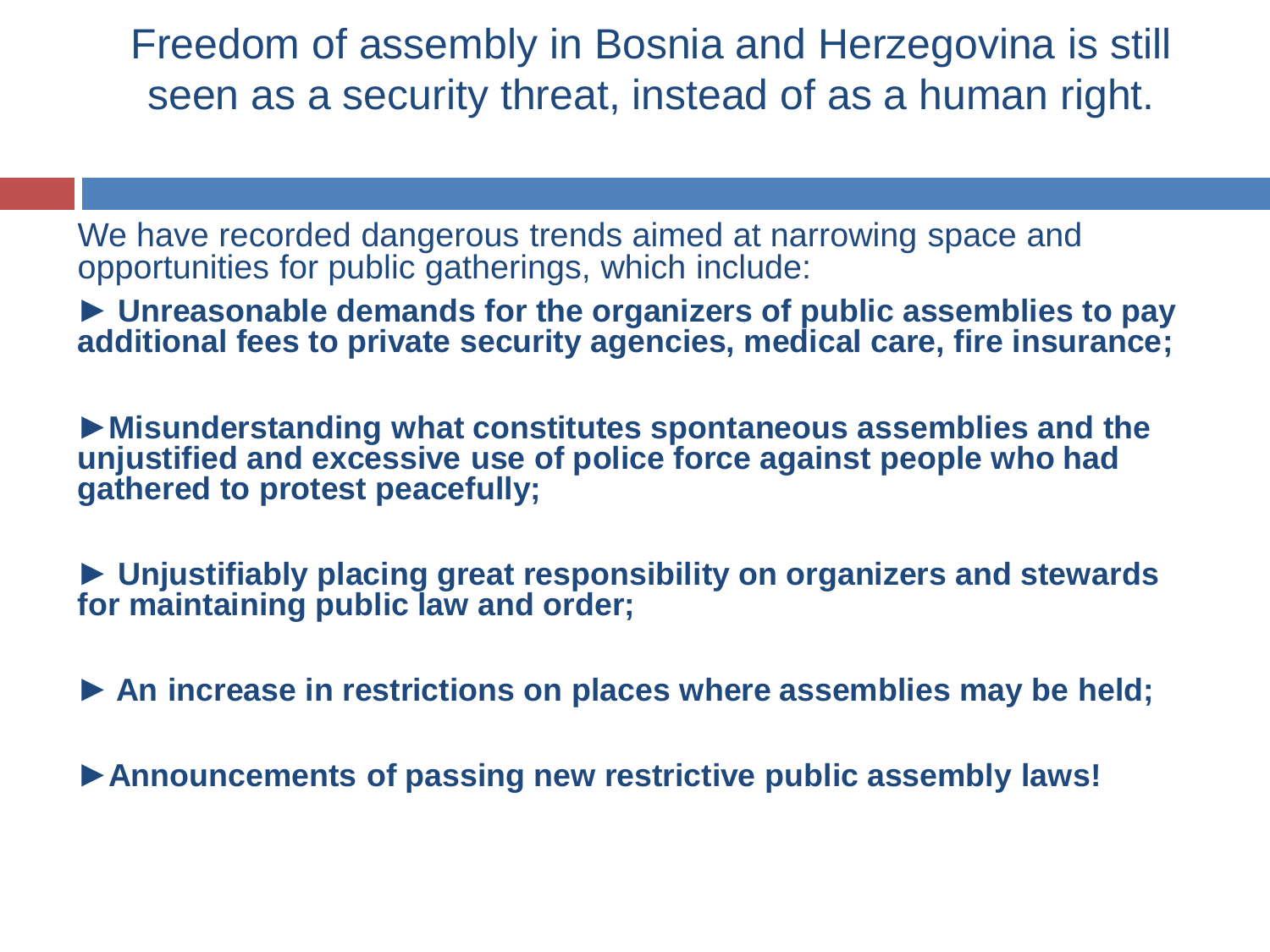Freedom of assembly in Bosnia and Herzegovina is still seen as a security threat, instead of as a human right.

We have recorded dangerous trends aimed at narrowing space and opportunities for public gatherings, which include:

► **Unreasonable demands for the organizers of public assemblies to pay additional fees to private security agencies, medical care, fire insurance;**

►**Misunderstanding what constitutes spontaneous assemblies and the unjustified and excessive use of police force against people who had gathered to protest peacefully;** 

► **Unjustifiably placing great responsibility on organizers and stewards for maintaining public law and order;**

**► An increase in restrictions on places where assemblies may be held;** 

►**Announcements of passing new restrictive public assembly laws!**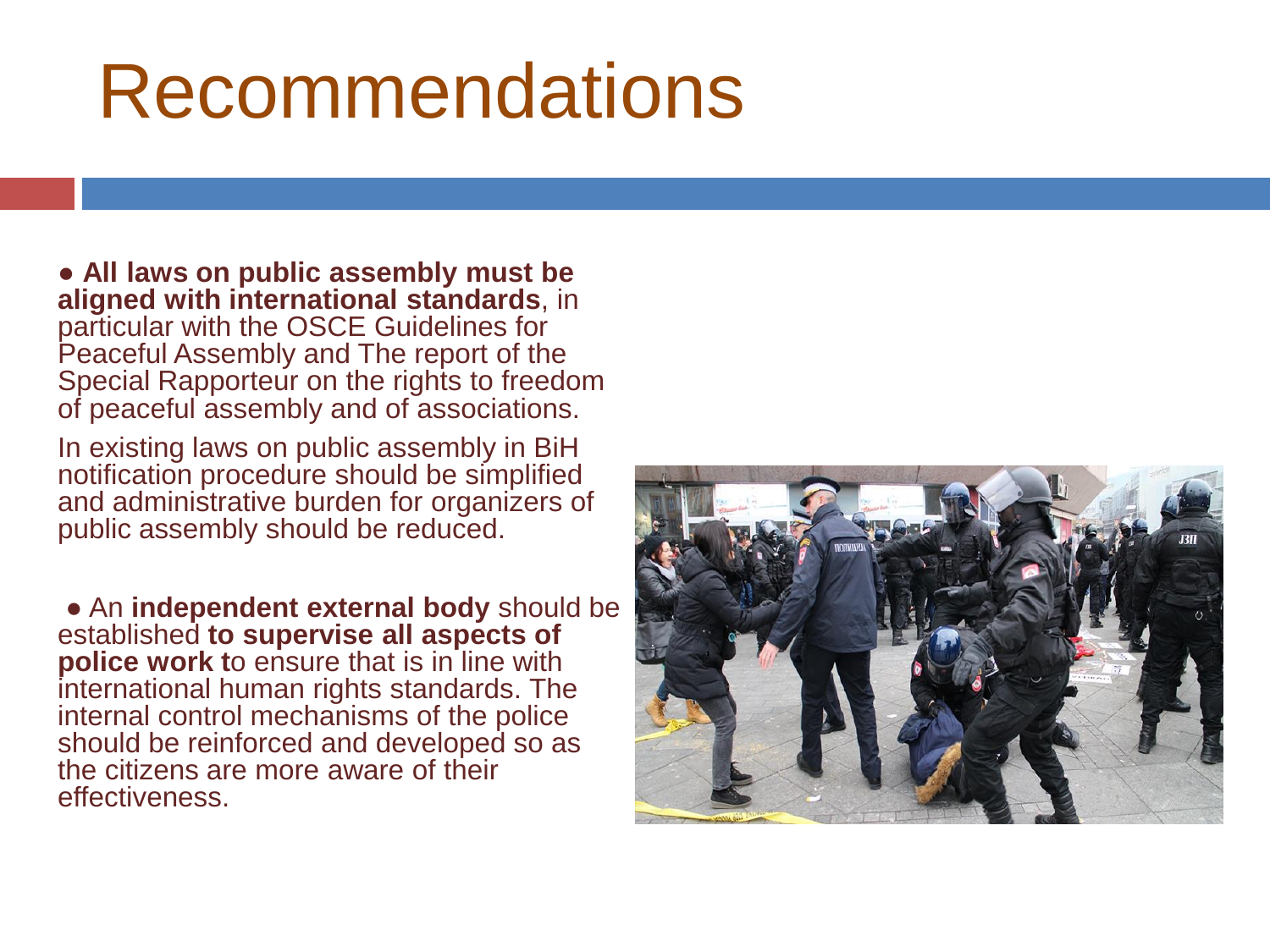## Recommendations

● **All laws on public assembly must be aligned with international standards**, in particular with the OSCE Guidelines for Peaceful Assembly and The report of the Special Rapporteur on the rights to freedom of peaceful assembly and of associations.

In existing laws on public assembly in BiH notification procedure should be simplified and administrative burden for organizers of public assembly should be reduced.

● An **independent external body** should be established **to supervise all aspects of police work t**o ensure that is in line with international human rights standards. The internal control mechanisms of the police should be reinforced and developed so as the citizens are more aware of their effectiveness.